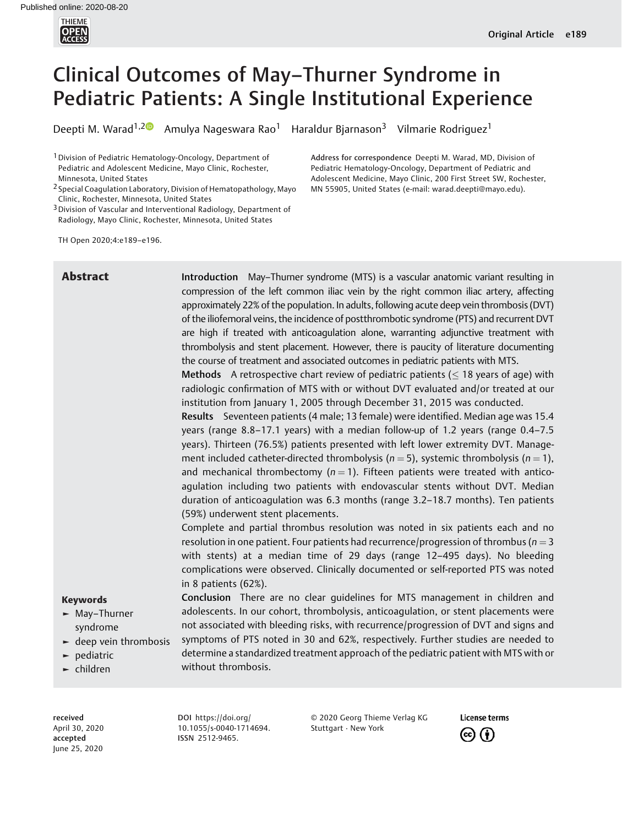

# Clinical Outcomes of May–Thurner Syndrome in Pediatric Patients: A Single Institutional Experience

Deepti M. Warad<sup>1,20</sup> Amulya Nageswara Rao<sup>1</sup> Haraldur Bjarnason<sup>3</sup> Vilmarie Rodriguez<sup>1</sup>

<sup>1</sup> Division of Pediatric Hematology-Oncology, Department of Pediatric and Adolescent Medicine, Mayo Clinic, Rochester, Minnesota, United States

2 Special Coagulation Laboratory, Division of Hematopathology, Mayo Clinic, Rochester, Minnesota, United States

<sup>3</sup> Division of Vascular and Interventional Radiology, Department of Radiology, Mayo Clinic, Rochester, Minnesota, United States

Address for correspondence Deepti M. Warad, MD, Division of Pediatric Hematology-Oncology, Department of Pediatric and Adolescent Medicine, Mayo Clinic, 200 First Street SW, Rochester, MN 55905, United States (e-mail: warad.deepti@mayo.edu).

TH Open 2020;4:e189–e196.

Abstract **Introduction** May–Thurner syndrome (MTS) is a vascular anatomic variant resulting in compression of the left common iliac vein by the right common iliac artery, affecting approximately 22% of the population. In adults, following acute deep vein thrombosis (DVT) of the iliofemoral veins, the incidence of postthrombotic syndrome (PTS) and recurrent DVT are high if treated with anticoagulation alone, warranting adjunctive treatment with thrombolysis and stent placement. However, there is paucity of literature documenting the course of treatment and associated outcomes in pediatric patients with MTS.

> Methods A retrospective chart review of pediatric patients ( $\leq$  18 years of age) with radiologic confirmation of MTS with or without DVT evaluated and/or treated at our institution from January 1, 2005 through December 31, 2015 was conducted.

> Results Seventeen patients (4 male; 13 female) were identified. Median age was 15.4 years (range 8.8–17.1 years) with a median follow-up of 1.2 years (range 0.4–7.5 years). Thirteen (76.5%) patients presented with left lower extremity DVT. Management included catheter-directed thrombolysis ( $n = 5$ ), systemic thrombolysis ( $n = 1$ ), and mechanical thrombectomy ( $n = 1$ ). Fifteen patients were treated with anticoagulation including two patients with endovascular stents without DVT. Median duration of anticoagulation was 6.3 months (range 3.2–18.7 months). Ten patients (59%) underwent stent placements.

> Complete and partial thrombus resolution was noted in six patients each and no resolution in one patient. Four patients had recurrence/progression of thrombus ( $n = 3$ ) with stents) at a median time of 29 days (range 12–495 days). No bleeding complications were observed. Clinically documented or self-reported PTS was noted in 8 patients (62%).

> Conclusion There are no clear guidelines for MTS management in children and adolescents. In our cohort, thrombolysis, anticoagulation, or stent placements were not associated with bleeding risks, with recurrence/progression of DVT and signs and symptoms of PTS noted in 30 and 62%, respectively. Further studies are needed to determine a standardized treatment approach of the pediatric patient with MTS with or

# Keywords

- ► May–Thurner syndrome
- $\blacktriangleright$  deep vein thrombosis
- ► pediatric
- ► children

received April 30, 2020 accepted June 25, 2020

DOI https://doi.org/ 10.1055/s-0040-1714694. ISSN 2512-9465.

without thrombosis.

© 2020 Georg Thieme Verlag KG Stuttgart · New York

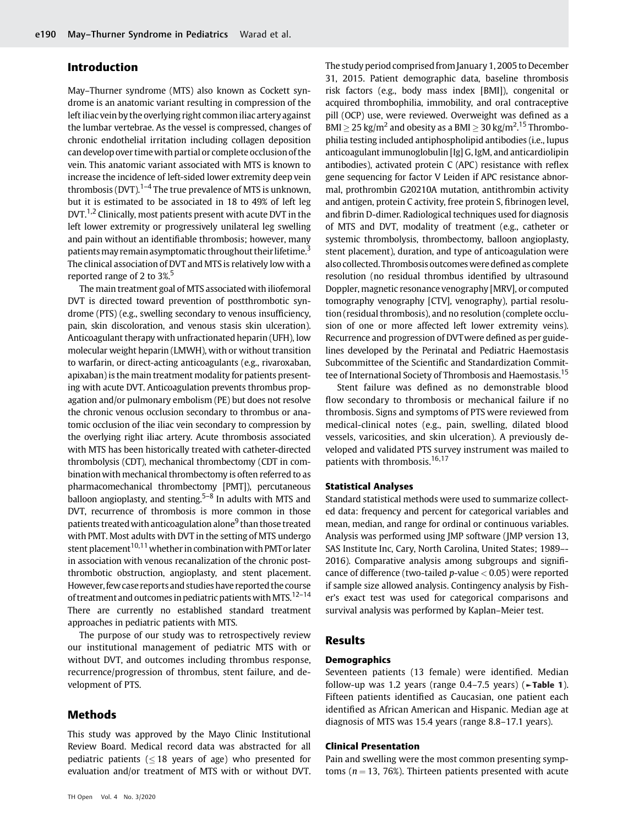# Introduction

May–Thurner syndrome (MTS) also known as Cockett syndrome is an anatomic variant resulting in compression of the left iliac vein by the overlying right common iliac artery against the lumbar vertebrae. As the vessel is compressed, changes of chronic endothelial irritation including collagen deposition can develop over timewith partial or complete occlusion of the vein. This anatomic variant associated with MTS is known to increase the incidence of left-sided lower extremity deep vein thrombosis (DVT).<sup>1–4</sup> The true prevalence of MTS is unknown, but it is estimated to be associated in 18 to 49% of left leg DVT.<sup>1,2</sup> Clinically, most patients present with acute DVT in the left lower extremity or progressively unilateral leg swelling and pain without an identifiable thrombosis; however, many patients may remain asymptomatic throughout their lifetime.<sup>3</sup> The clinical association of DVT and MTS is relatively low with a reported range of 2 to 3%.<sup>5</sup>

The main treatment goal of MTS associated with iliofemoral DVT is directed toward prevention of postthrombotic syndrome (PTS) (e.g., swelling secondary to venous insufficiency, pain, skin discoloration, and venous stasis skin ulceration). Anticoagulant therapy with unfractionated heparin (UFH), low molecular weight heparin (LMWH), with or without transition to warfarin, or direct-acting anticoagulants (e.g., rivaroxaban, apixaban) is the main treatment modality for patients presenting with acute DVT. Anticoagulation prevents thrombus propagation and/or pulmonary embolism (PE) but does not resolve the chronic venous occlusion secondary to thrombus or anatomic occlusion of the iliac vein secondary to compression by the overlying right iliac artery. Acute thrombosis associated with MTS has been historically treated with catheter-directed thrombolysis (CDT), mechanical thrombectomy (CDT in combination with mechanical thrombectomy is often referred to as pharmacomechanical thrombectomy [PMT]), percutaneous balloon angioplasty, and stenting.<sup>5–8</sup> In adults with MTS and DVT, recurrence of thrombosis is more common in those patients treated with anticoagulation alone<sup>9</sup> than those treated with PMT. Most adults with DVT in the setting of MTS undergo stent placement<sup>10,11</sup> whether in combination with PMT or later in association with venous recanalization of the chronic postthrombotic obstruction, angioplasty, and stent placement. However, fewcase reports and studies have reported the course of treatment and outcomes in pediatric patients with MTS.<sup>12–14</sup> There are currently no established standard treatment approaches in pediatric patients with MTS.

The purpose of our study was to retrospectively review our institutional management of pediatric MTS with or without DVT, and outcomes including thrombus response, recurrence/progression of thrombus, stent failure, and development of PTS.

# Methods

This study was approved by the Mayo Clinic Institutional Review Board. Medical record data was abstracted for all pediatric patients ( $\leq$  18 years of age) who presented for evaluation and/or treatment of MTS with or without DVT.

The study period comprised from January 1, 2005 to December 31, 2015. Patient demographic data, baseline thrombosis risk factors (e.g., body mass index [BMI]), congenital or acquired thrombophilia, immobility, and oral contraceptive pill (OCP) use, were reviewed. Overweight was defined as a BMI  $\geq$  25 kg/m<sup>2</sup> and obesity as a BMI  $\geq$  30 kg/m<sup>2</sup>.<sup>15</sup> Thrombophilia testing included antiphospholipid antibodies (i.e., lupus anticoagulant immunoglobulin [Ig] G, IgM, and anticardiolipin antibodies), activated protein C (APC) resistance with reflex gene sequencing for factor V Leiden if APC resistance abnormal, prothrombin G20210A mutation, antithrombin activity and antigen, protein C activity, free protein S, fibrinogen level, and fibrin D-dimer. Radiological techniques used for diagnosis of MTS and DVT, modality of treatment (e.g., catheter or systemic thrombolysis, thrombectomy, balloon angioplasty, stent placement), duration, and type of anticoagulation were also collected. Thrombosis outcomes were defined as complete resolution (no residual thrombus identified by ultrasound Doppler, magnetic resonance venography [MRV], or computed tomography venography [CTV], venography), partial resolution (residual thrombosis), and no resolution (complete occlusion of one or more affected left lower extremity veins). Recurrence and progression of DVTwere defined as per guidelines developed by the Perinatal and Pediatric Haemostasis Subcommittee of the Scientific and Standardization Committee of International Society of Thrombosis and Haemostasis.<sup>15</sup>

Stent failure was defined as no demonstrable blood flow secondary to thrombosis or mechanical failure if no thrombosis. Signs and symptoms of PTS were reviewed from medical-clinical notes (e.g., pain, swelling, dilated blood vessels, varicosities, and skin ulceration). A previously developed and validated PTS survey instrument was mailed to patients with thrombosis.<sup>16,17</sup>

### Statistical Analyses

Standard statistical methods were used to summarize collected data: frequency and percent for categorical variables and mean, median, and range for ordinal or continuous variables. Analysis was performed using JMP software (JMP version 13, SAS Institute Inc, Cary, North Carolina, United States; 1989–- 2016). Comparative analysis among subgroups and significance of difference (two-tailed  $p$ -value  $< 0.05$ ) were reported if sample size allowed analysis. Contingency analysis by Fisher's exact test was used for categorical comparisons and survival analysis was performed by Kaplan–Meier test.

### Results

#### Demographics

Seventeen patients (13 female) were identified. Median follow-up was 1.2 years (range  $0.4-7.5$  years) ( $\blacktriangleright$ Table 1). Fifteen patients identified as Caucasian, one patient each identified as African American and Hispanic. Median age at diagnosis of MTS was 15.4 years (range 8.8–17.1 years).

#### Clinical Presentation

Pain and swelling were the most common presenting symptoms ( $n = 13$ , 76%). Thirteen patients presented with acute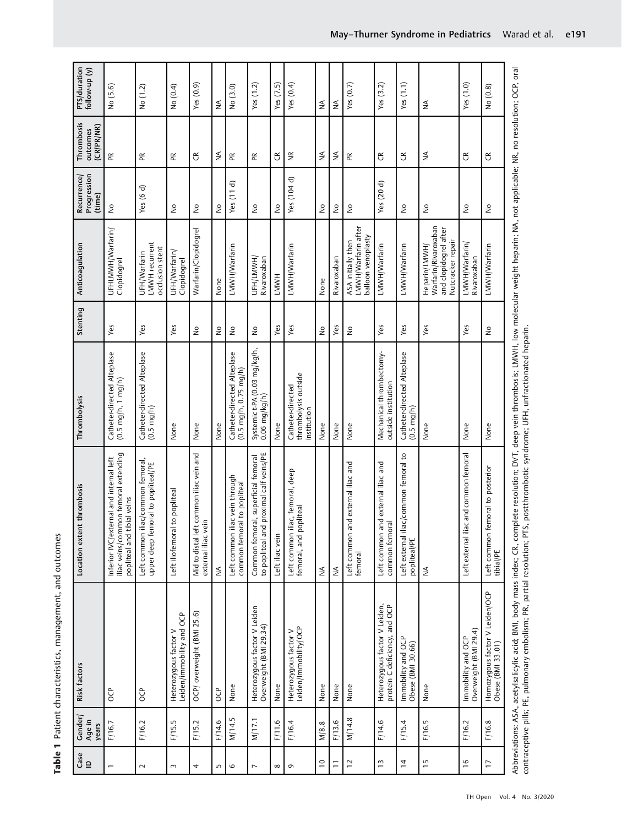| Gse<br>⊡       | Gender/<br>Age in | Risk factors                                                                                                                                                                                             | thrombosis<br>Location extent                                                                                 | Thrombolysis                                                           | Stenting                            | Anticoagulation                                                                     | Progression<br>Recurrence  | Thrombosis<br>outcomes | PTS/duration<br>follow-up (y) |
|----------------|-------------------|----------------------------------------------------------------------------------------------------------------------------------------------------------------------------------------------------------|---------------------------------------------------------------------------------------------------------------|------------------------------------------------------------------------|-------------------------------------|-------------------------------------------------------------------------------------|----------------------------|------------------------|-------------------------------|
|                | years             |                                                                                                                                                                                                          |                                                                                                               |                                                                        |                                     |                                                                                     | (time)                     | (CR/PR/NR)             |                               |
|                | F/16.7            | <b>a</b>                                                                                                                                                                                                 | iliac veins/common femoral extending<br>Inferior IVC/external and internal left<br>popliteal and tibial veins | Catheter-directed Alteplase<br>$(0.5 \text{ mg/h}, 1 \text{ mg/h})$    | Yes                                 | UFHLMWH/Warfarin/<br>Clopidogrel                                                    | $\frac{1}{2}$              | Æ                      | No (5.6)                      |
| $\sim$         | F/16.2            | <b>B</b>                                                                                                                                                                                                 | Left common iliac/common femoral,<br>upper deep femoral to popliteal/PE                                       | Catheter-directed Alteplase<br>$(0.5 \text{ mg/h})$                    | Yes                                 | LMWH recurrent<br>occlusion stent<br>UFH/Warfarin                                   | Yes $(6 d)$                | Æ                      | No (1.2)                      |
| 3              | F/15.5            | Leiden/immobility and OCP<br>Heterozygous factor V                                                                                                                                                       | to popliteal<br>Left iliofemoral                                                                              | None                                                                   | Yes                                 | UFH/Warfarin/<br>Clopidogrel                                                        | ş                          | Æ                      | No (0.4)                      |
| 4              | F/15.2            | OCP/ overweight (BMI 25.6)                                                                                                                                                                               | common iliac vein and<br>external iliac vein<br>Mid to distal left                                            | None                                                                   | $\frac{1}{2}$                       | Warfarin/Clopidogrel                                                                | $\geq$                     | E                      | Yes(0.9)                      |
| S              | F/14.6            | OCP <sub></sub>                                                                                                                                                                                          | $\lessgtr$                                                                                                    | None                                                                   | $\frac{0}{2}$                       | None                                                                                | $\geq$                     | ₹                      | ≨                             |
| 6              | M/14.5            | None                                                                                                                                                                                                     | c vein through<br>common femoral to popliteal<br>Left common ilia                                             | Catheter-directed Alteplase<br>$(0.5 \text{ mg/h}, 0.75 \text{ mg/h})$ | $\stackrel{\mathtt{o}}{\mathsf{z}}$ | LMWH/Warfarin                                                                       | T<br>Yes(11)               | $\mathbb R$            | No (3.0)                      |
| L              | M/17.1            | Heterozygous factor V Leiden<br>Overweight (BMI 29.34)                                                                                                                                                   | proximal calf veins/PE<br>al, superficial femoral<br>Common femora<br>to popliteal and                        | Systemic t-PA (0.03 mg/kg/h,<br>$0.06$ mg/kg/h)                        | $\frac{1}{2}$                       | UFH/LMWH,<br>Rivaroxaban                                                            | $\stackrel{\circ}{\simeq}$ | Æ                      | Yes $(1.2)$                   |
| $\infty$       | F/11.6            | None                                                                                                                                                                                                     | Left iliac vein                                                                                               | None                                                                   | Yes                                 | LMWH                                                                                | $\geq$                     | $\mathfrak{S}$         | Yes $(7.5)$                   |
| $\sigma$       | F/16.4            | Heterozygous factor V<br>Leiden/Immobility/OCP                                                                                                                                                           | Ic, femoral, deep<br>femoral, and popliteal<br>Left common ilia                                               | thrombolysis outside<br>Catheter-directed<br>institution               | Yes                                 | LMWH/Warfarin                                                                       | Yes (104 d)                | $\widetilde{\Xi}$      | Yes $(0.4)$                   |
| $\overline{a}$ | M/8.8             | None                                                                                                                                                                                                     | $\lessgtr$                                                                                                    | None                                                                   | $\frac{1}{2}$                       | None                                                                                | $\geq$                     | ₹                      | ≸                             |
| Ξ              | F/13.6            | None                                                                                                                                                                                                     | ≸                                                                                                             | None                                                                   | Yes                                 | Rivaroxaban                                                                         | ٤                          | ≸                      | ≸                             |
| 12             | M/14.8            | None                                                                                                                                                                                                     | Left common and external iliac and<br>femoral                                                                 | None                                                                   | $\frac{1}{2}$                       | LMWH/Warfarin after<br>balloon venoplasty<br>ASA initially then                     | $\geq$                     | Æ                      | Yes $(0.7)$                   |
| $\tilde{1}$    | F/14.6            | Heterozygous factor V Leiden,<br>protein C deficiency, and OCP                                                                                                                                           | Left common and external iliac and<br>common femora                                                           | Mechanical thrombectomy-<br>outside institution                        | Yes                                 | LMWH/Warfarin                                                                       | Yes (20 d)                 | E                      | Yes $(3.2)$                   |
| $\overline{4}$ | F/15.4            | Immobility and OCP<br>Obese (BMI 30.66)                                                                                                                                                                  | c/common femoral to<br>Left external ilia<br>popliteal/PE                                                     | Catheter-directed Alteplase<br>$(0.5 \text{ mg/h})$                    | Yes                                 | LMWH/Warfarin                                                                       | ş                          | E                      | Yes (1.1)                     |
| $\overline{1}$ | F/16.5            | None                                                                                                                                                                                                     | ≸                                                                                                             | None                                                                   | Yes                                 | Warfarin/Rivaroxaban<br>and clopidogrel after<br>Nutcracker repair<br>Heparin/LMWH/ | ş                          | ₹                      | ≸                             |
| $\frac{6}{1}$  | F/16.2            | Immobility and OCP<br>Overweight (BMI 29.4)                                                                                                                                                              | and common femoral<br>Left external iliac                                                                     | None                                                                   | Yes                                 | LMWH/Warfarin/<br>Rivaroxaban                                                       | $\geq$                     | E                      | Yes (1.0)                     |
| $\overline{1}$ | F/16.8            | Homozygous factor V Leiden/OCP<br>Obese (BMI 33.01)                                                                                                                                                      | Left common femoral to posterior<br>tibial/PE                                                                 | None                                                                   | $\frac{1}{2}$                       | LMWH/Warfarin                                                                       | ş                          | E                      | No (0.8)                      |
|                |                   | Abbreviations: ASA, acetylsalicylic acid; BMI, body mass index; CR, complete resolution; DVT, deep vein thrombosis; LMWH, low molecular weight heparin; NA, not applicable; NR, no resolution; OCP, oral |                                                                                                               |                                                                        |                                     |                                                                                     |                            |                        |                               |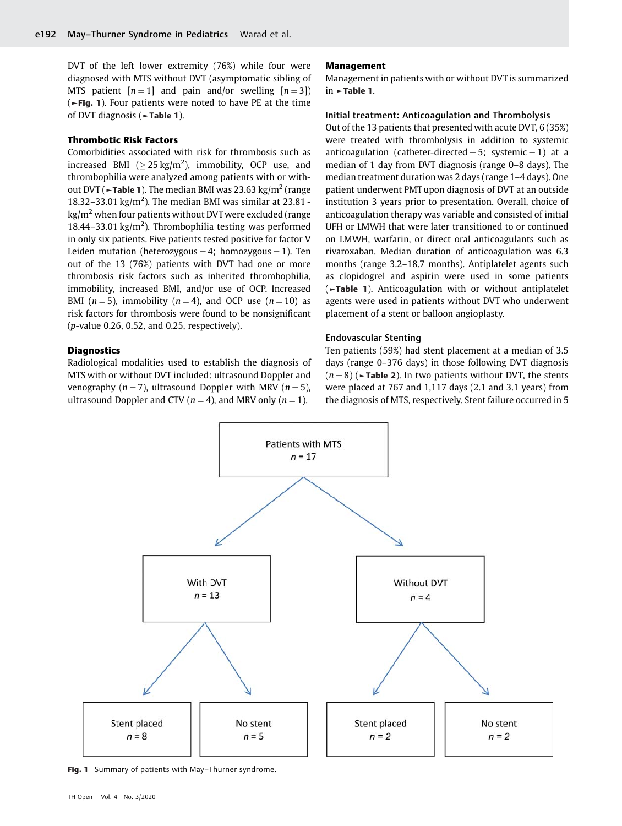DVT of the left lower extremity (76%) while four were diagnosed with MTS without DVT (asymptomatic sibling of MTS patient  $[n = 1]$  and pain and/or swelling  $[n = 3]$ ) (►Fig. 1). Four patients were noted to have PE at the time of DVT diagnosis (►Table 1).

#### Thrombotic Risk Factors

Comorbidities associated with risk for thrombosis such as increased BMI ( $\geq$  25 kg/m<sup>2</sup>), immobility, OCP use, and thrombophilia were analyzed among patients with or without DVT ( $\blacktriangleright$ Table 1). The median BMI was 23.63 kg/m<sup>2</sup> (range 18.32-33.01 kg/m<sup>2</sup>). The median BMI was similar at 23.81 - $\text{kg/m}^2$  when four patients without DVT were excluded (range 18.44-33.01 kg/m<sup>2</sup>). Thrombophilia testing was performed in only six patients. Five patients tested positive for factor V Leiden mutation (heterozygous = 4; homozygous = 1). Ten out of the 13 (76%) patients with DVT had one or more thrombosis risk factors such as inherited thrombophilia, immobility, increased BMI, and/or use of OCP. Increased BMI ( $n = 5$ ), immobility ( $n = 4$ ), and OCP use ( $n = 10$ ) as risk factors for thrombosis were found to be nonsignificant (p-value 0.26, 0.52, and 0.25, respectively).

# **Diagnostics**

Radiological modalities used to establish the diagnosis of MTS with or without DVT included: ultrasound Doppler and venography ( $n = 7$ ), ultrasound Doppler with MRV ( $n = 5$ ), ultrasound Doppler and CTV ( $n = 4$ ), and MRV only ( $n = 1$ ).

#### Management

Management in patients with or without DVT is summarized in ►Table 1.

#### Initial treatment: Anticoagulation and Thrombolysis

Out of the 13 patients that presented with acute DVT, 6 (35%) were treated with thrombolysis in addition to systemic anticoagulation (catheter-directed = 5; systemic = 1) at a median of 1 day from DVT diagnosis (range 0–8 days). The median treatment duration was 2 days (range 1–4 days). One patient underwent PMT upon diagnosis of DVT at an outside institution 3 years prior to presentation. Overall, choice of anticoagulation therapy was variable and consisted of initial UFH or LMWH that were later transitioned to or continued on LMWH, warfarin, or direct oral anticoagulants such as rivaroxaban. Median duration of anticoagulation was 6.3 months (range 3.2–18.7 months). Antiplatelet agents such as clopidogrel and aspirin were used in some patients (►Table 1). Anticoagulation with or without antiplatelet agents were used in patients without DVT who underwent placement of a stent or balloon angioplasty.

#### Endovascular Stenting

Ten patients (59%) had stent placement at a median of 3.5 days (range 0–376 days) in those following DVT diagnosis  $(n = 8)$  ( $\blacktriangleright$ Table 2). In two patients without DVT, the stents were placed at 767 and 1,117 days (2.1 and 3.1 years) from the diagnosis of MTS, respectively. Stent failure occurred in 5



Fig. 1 Summary of patients with May-Thurner syndrome.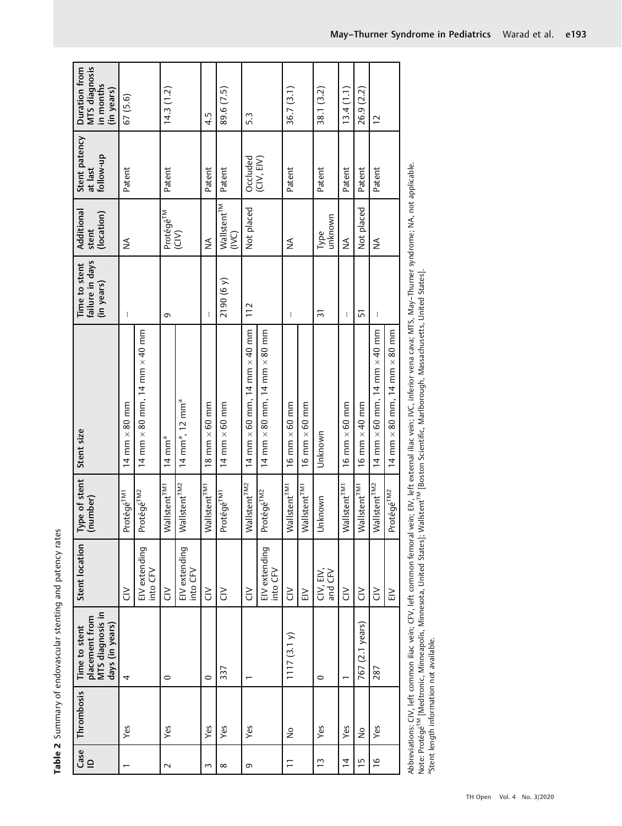Table 2 Summary of endovascular stenting and patency rates **Table 2** Summary of endovascular stenting and patency rates

Abbreviations: CIV, left common iliac vein; CFV, left common femoral vein; EIV, left external iliac vein; IVC, inferior vena cava; MTS, May–Thurner syndrome; NA, not applicable. Abbreviations: CIV, left common iliac vein; CFV, left common femoral vein; EIV, left external iliac vein; IVC, inferior vena cava; MTS, May-Thurner<br>Note: Protégé<sup>rM</sup> [Medtronic, Minneapolis, Minnesota, United States]; Wall Note: Protégé<sup>TM</sup> [Medtronic, Minneapolis, Minnesota, United States]; Wallstent<sup>rM</sup> [Boston Scientific, Marlborough, Massachusetts, United States].<br>Stent length information not available.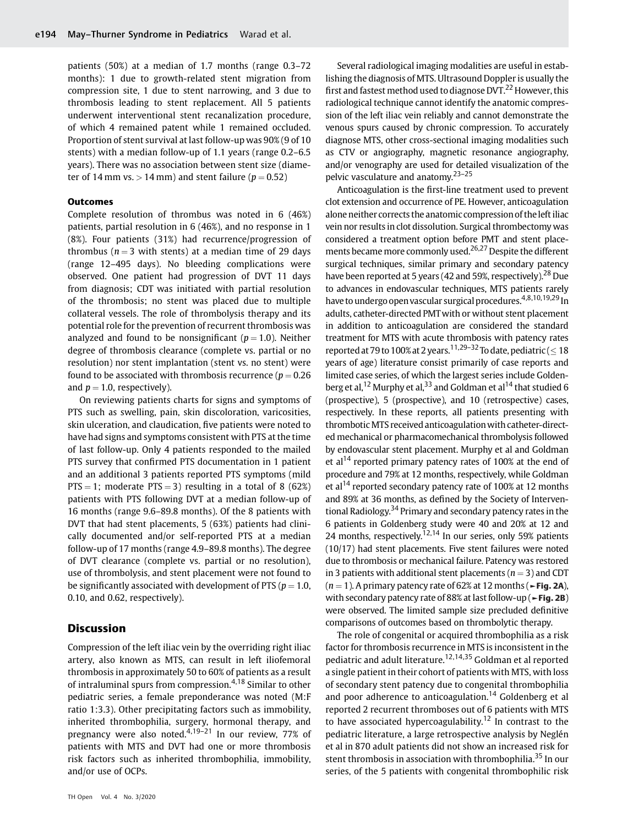patients (50%) at a median of 1.7 months (range 0.3–72 months): 1 due to growth-related stent migration from compression site, 1 due to stent narrowing, and 3 due to thrombosis leading to stent replacement. All 5 patients underwent interventional stent recanalization procedure, of which 4 remained patent while 1 remained occluded. Proportion of stent survival at last follow-up was 90% (9 of 10 stents) with a median follow-up of 1.1 years (range 0.2–6.5 years). There was no association between stent size (diameter of 14 mm vs.  $> 14$  mm) and stent failure ( $p = 0.52$ )

#### **Outcomes**

Complete resolution of thrombus was noted in 6 (46%) patients, partial resolution in 6 (46%), and no response in 1 (8%). Four patients (31%) had recurrence/progression of thrombus ( $n = 3$  with stents) at a median time of 29 days (range 12–495 days). No bleeding complications were observed. One patient had progression of DVT 11 days from diagnosis; CDT was initiated with partial resolution of the thrombosis; no stent was placed due to multiple collateral vessels. The role of thrombolysis therapy and its potential role for the prevention of recurrent thrombosis was analyzed and found to be nonsignificant ( $p = 1.0$ ). Neither degree of thrombosis clearance (complete vs. partial or no resolution) nor stent implantation (stent vs. no stent) were found to be associated with thrombosis recurrence ( $p = 0.26$ ) and  $p = 1.0$ , respectively).

On reviewing patients charts for signs and symptoms of PTS such as swelling, pain, skin discoloration, varicosities, skin ulceration, and claudication, five patients were noted to have had signs and symptoms consistent with PTS at the time of last follow-up. Only 4 patients responded to the mailed PTS survey that confirmed PTS documentation in 1 patient and an additional 3 patients reported PTS symptoms (mild  $PTS = 1$ ; moderate  $PTS = 3$ ) resulting in a total of 8 (62%) patients with PTS following DVT at a median follow-up of 16 months (range 9.6–89.8 months). Of the 8 patients with DVT that had stent placements, 5 (63%) patients had clinically documented and/or self-reported PTS at a median follow-up of 17 months (range 4.9–89.8 months). The degree of DVT clearance (complete vs. partial or no resolution), use of thrombolysis, and stent placement were not found to be significantly associated with development of PTS ( $p = 1.0$ , 0.10, and 0.62, respectively).

# Discussion

Compression of the left iliac vein by the overriding right iliac artery, also known as MTS, can result in left iliofemoral thrombosis in approximately 50 to 60% of patients as a result of intraluminal spurs from compression.<sup>4,18</sup> Similar to other pediatric series, a female preponderance was noted (M:F ratio 1:3.3). Other precipitating factors such as immobility, inherited thrombophilia, surgery, hormonal therapy, and pregnancy were also noted.<sup>4,19–21</sup> In our review, 77% of patients with MTS and DVT had one or more thrombosis risk factors such as inherited thrombophilia, immobility, and/or use of OCPs.

Several radiological imaging modalities are useful in establishing the diagnosis of MTS. Ultrasound Doppler is usually the first and fastest method used to diagnose DVT.<sup>22</sup> However, this radiological technique cannot identify the anatomic compression of the left iliac vein reliably and cannot demonstrate the venous spurs caused by chronic compression. To accurately diagnose MTS, other cross-sectional imaging modalities such as CTV or angiography, magnetic resonance angiography, and/or venography are used for detailed visualization of the pelvic vasculature and anatomy.23–<sup>25</sup>

Anticoagulation is the first-line treatment used to prevent clot extension and occurrence of PE. However, anticoagulation alone neither corrects the anatomic compression of theleft iliac vein nor results in clot dissolution. Surgical thrombectomy was considered a treatment option before PMT and stent placements became more commonly used.<sup>26,27</sup> Despite the different surgical techniques, similar primary and secondary patency have been reported at 5 years (42 and 59%, respectively).<sup>28</sup> Due to advances in endovascular techniques, MTS patients rarely have to undergo open vascular surgical procedures.4,8,10,19,29 In adults, catheter-directed PMTwith or without stent placement in addition to anticoagulation are considered the standard treatment for MTS with acute thrombosis with patency rates reported at 79 to 100% at 2 years.<sup>11,29–32</sup> To date, pediatric (  $\leq 18$ years of age) literature consist primarily of case reports and limited case series, of which the largest series include Goldenberg et al,<sup>12</sup> Murphy et al,<sup>33</sup> and Goldman et al<sup>14</sup> that studied 6 (prospective), 5 (prospective), and 10 (retrospective) cases, respectively. In these reports, all patients presenting with thrombotic MTS received anticoagulation with catheter-directed mechanical or pharmacomechanical thrombolysis followed by endovascular stent placement. Murphy et al and Goldman et al<sup>14</sup> reported primary patency rates of 100% at the end of procedure and 79% at 12 months, respectively, while Goldman et al<sup>14</sup> reported secondary patency rate of 100% at 12 months and 89% at 36 months, as defined by the Society of Interventional Radiology.<sup>34</sup> Primary and secondary patency rates in the 6 patients in Goldenberg study were 40 and 20% at 12 and 24 months, respectively.<sup>12,14</sup> In our series, only 59% patients (10/17) had stent placements. Five stent failures were noted due to thrombosis or mechanical failure. Patency was restored in 3 patients with additional stent placements ( $n = 3$ ) and CDT  $(n = 1)$ . A primary patency rate of 62% at 12 months ( $\blacktriangleright$  Fig. 2A), with secondary patency rate of 88% at last follow-up (►Fig. 2B) were observed. The limited sample size precluded definitive comparisons of outcomes based on thrombolytic therapy.

The role of congenital or acquired thrombophilia as a risk factor for thrombosis recurrence in MTS is inconsistent in the pediatric and adult literature.12,14,35 Goldman et al reported a single patient in their cohort of patients with MTS, with loss of secondary stent patency due to congenital thrombophilia and poor adherence to anticoagulation.<sup>14</sup> Goldenberg et al reported 2 recurrent thromboses out of 6 patients with MTS to have associated hypercoagulability.<sup>12</sup> In contrast to the pediatric literature, a large retrospective analysis by Neglén et al in 870 adult patients did not show an increased risk for stent thrombosis in association with thrombophilia.<sup>35</sup> In our series, of the 5 patients with congenital thrombophilic risk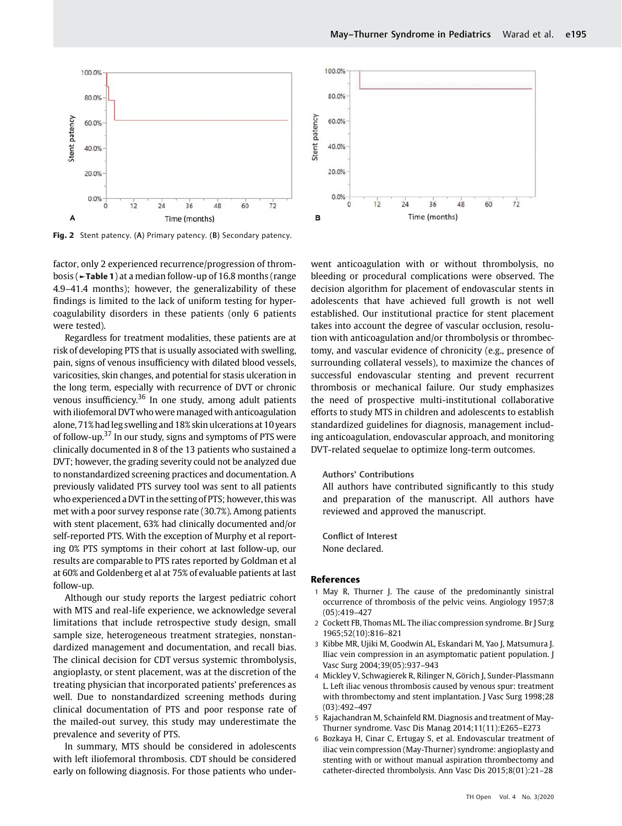

Fig. 2 Stent patency. (A) Primary patency. (B) Secondary patency.

factor, only 2 experienced recurrence/progression of thrombosis (►Table 1) at a median follow-up of 16.8 months (range 4.9–41.4 months); however, the generalizability of these findings is limited to the lack of uniform testing for hypercoagulability disorders in these patients (only 6 patients were tested).

Regardless for treatment modalities, these patients are at risk of developing PTS that is usually associated with swelling, pain, signs of venous insufficiency with dilated blood vessels, varicosities, skin changes, and potential for stasis ulceration in the long term, especially with recurrence of DVT or chronic venous insufficiency.<sup>36</sup> In one study, among adult patients with iliofemoral DVTwho were managed with anticoagulation alone, 71% hadleg swelling and 18% skin ulcerations at 10 years of follow-up.<sup>37</sup> In our study, signs and symptoms of PTS were clinically documented in 8 of the 13 patients who sustained a DVT; however, the grading severity could not be analyzed due to nonstandardized screening practices and documentation. A previously validated PTS survey tool was sent to all patients who experienced a DVT in the setting of PTS; however, this was met with a poor survey response rate (30.7%). Among patients with stent placement, 63% had clinically documented and/or self-reported PTS. With the exception of Murphy et al reporting 0% PTS symptoms in their cohort at last follow-up, our results are comparable to PTS rates reported by Goldman et al at 60% and Goldenberg et al at 75% of evaluable patients at last follow-up.

Although our study reports the largest pediatric cohort with MTS and real-life experience, we acknowledge several limitations that include retrospective study design, small sample size, heterogeneous treatment strategies, nonstandardized management and documentation, and recall bias. The clinical decision for CDT versus systemic thrombolysis, angioplasty, or stent placement, was at the discretion of the treating physician that incorporated patients' preferences as well. Due to nonstandardized screening methods during clinical documentation of PTS and poor response rate of the mailed-out survey, this study may underestimate the prevalence and severity of PTS.

In summary, MTS should be considered in adolescents with left iliofemoral thrombosis. CDT should be considered early on following diagnosis. For those patients who under-



went anticoagulation with or without thrombolysis, no bleeding or procedural complications were observed. The decision algorithm for placement of endovascular stents in adolescents that have achieved full growth is not well established. Our institutional practice for stent placement takes into account the degree of vascular occlusion, resolution with anticoagulation and/or thrombolysis or thrombectomy, and vascular evidence of chronicity (e.g., presence of surrounding collateral vessels), to maximize the chances of successful endovascular stenting and prevent recurrent thrombosis or mechanical failure. Our study emphasizes the need of prospective multi-institutional collaborative efforts to study MTS in children and adolescents to establish standardized guidelines for diagnosis, management including anticoagulation, endovascular approach, and monitoring DVT-related sequelae to optimize long-term outcomes.

#### Authors' Contributions

All authors have contributed significantly to this study and preparation of the manuscript. All authors have reviewed and approved the manuscript.

Conflict of Interest None declared.

#### References

- 1 May R, Thurner J. The cause of the predominantly sinistral occurrence of thrombosis of the pelvic veins. Angiology 1957;8 (05):419–427
- 2 Cockett FB, Thomas ML. The iliac compression syndrome. Br J Surg 1965;52(10):816–821
- 3 Kibbe MR, Ujiki M, Goodwin AL, Eskandari M, Yao J, Matsumura J. Iliac vein compression in an asymptomatic patient population. J Vasc Surg 2004;39(05):937–943
- 4 Mickley V, Schwagierek R, Rilinger N, Görich J, Sunder-Plassmann L. Left iliac venous thrombosis caused by venous spur: treatment with thrombectomy and stent implantation. J Vasc Surg 1998;28 (03):492–497
- 5 Rajachandran M, Schainfeld RM. Diagnosis and treatment of May-Thurner syndrome. Vasc Dis Manag 2014;11(11):E265–E273
- 6 Bozkaya H, Cinar C, Ertugay S, et al. Endovascular treatment of iliac vein compression (May-Thurner) syndrome: angioplasty and stenting with or without manual aspiration thrombectomy and catheter-directed thrombolysis. Ann Vasc Dis 2015;8(01):21–28